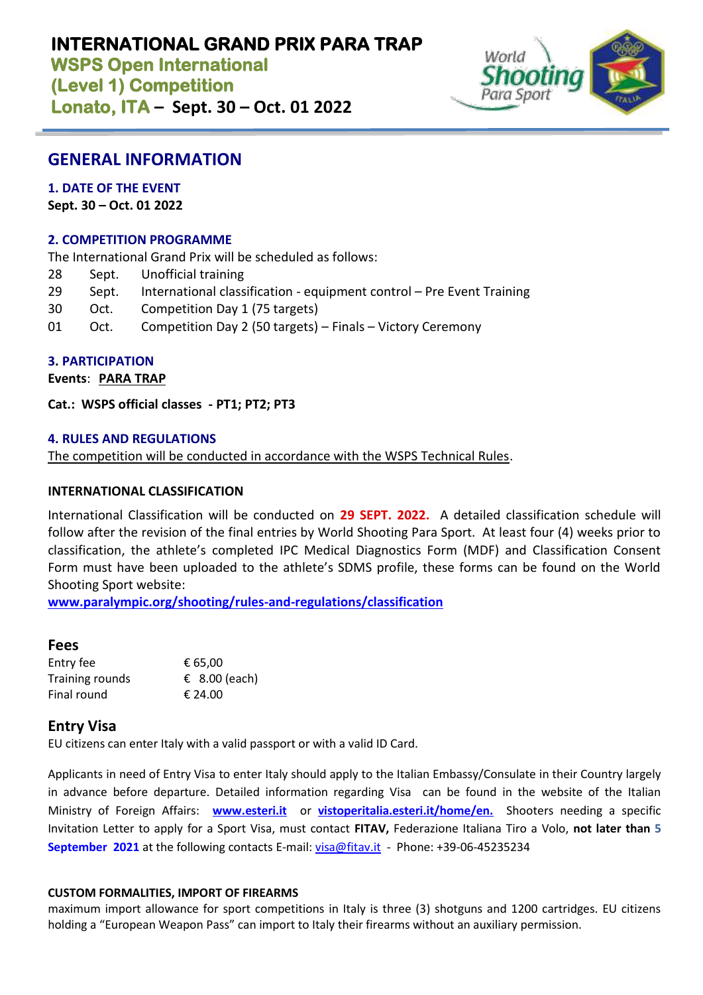# **INTERNATIONAL GRAND PRIX PARA TRAP**

**WSPS Open International (Level 1) Competition Lonato, ITA – Sept. 30 – Oct. 01 2022**



# **GENERAL INFORMATION**

**1. DATE OF THE EVENT Sept. 30 – Oct. 01 2022**

# **2. COMPETITION PROGRAMME**

The International Grand Prix will be scheduled as follows:

- 28 Sept. Unofficial training
- 29 Sept. International classification equipment control Pre Event Training
- 30 Oct. Competition Day 1 (75 targets)
- 01 Oct. Competition Day 2 (50 targets) Finals Victory Ceremony

## **3. PARTICIPATION**

**Events**: **PARA TRAP**

**Cat.: WSPS official classes - PT1; PT2; PT3**

## **4. RULES AND REGULATIONS**

The competition will be conducted in accordance with the WSPS Technical Rules.

## **INTERNATIONAL CLASSIFICATION**

International Classification will be conducted on **29 SEPT. 2022.** A detailed classification schedule will follow after the revision of the final entries by World Shooting Para Sport. At least four (4) weeks prior to classification, the athlete's completed IPC Medical Diagnostics Form (MDF) and Classification Consent Form must have been uploaded to the athlete's SDMS profile, these forms can be found on the World Shooting Sport website:

**www.paralympic.org/shooting/rules-and-regulations/classification**

## **Fees**

| Entry fee       | € 65,00       |  |  |
|-----------------|---------------|--|--|
| Training rounds | € 8.00 (each) |  |  |
| Final round     | € 24.00       |  |  |

# **Entry Visa**

EU citizens can enter Italy with a valid passport or with a valid ID Card.

Applicants in need of Entry Visa to enter Italy should apply to the Italian Embassy/Consulate in their Country largely in advance before departure. Detailed information regarding Visa can be found in the website of the Italian Ministry of Foreign Affairs: **[www.esteri.it](http://www.esteri.it/)** or **vistoperitalia.esteri.it/home/en.** Shooters needing a specific Invitation Letter to apply for a Sport Visa, must contact **FITAV,** Federazione Italiana Tiro a Volo, **not later than 5 September 2021** at the following contacts E-mail: [visa@fitav.it](mailto:visa@fitav.it) - Phone: +39-06-45235234

#### **CUSTOM FORMALITIES, IMPORT OF FIREARMS**

maximum import allowance for sport competitions in Italy is three (3) shotguns and 1200 cartridges. EU citizens holding a "European Weapon Pass" can import to Italy their firearms without an auxiliary permission.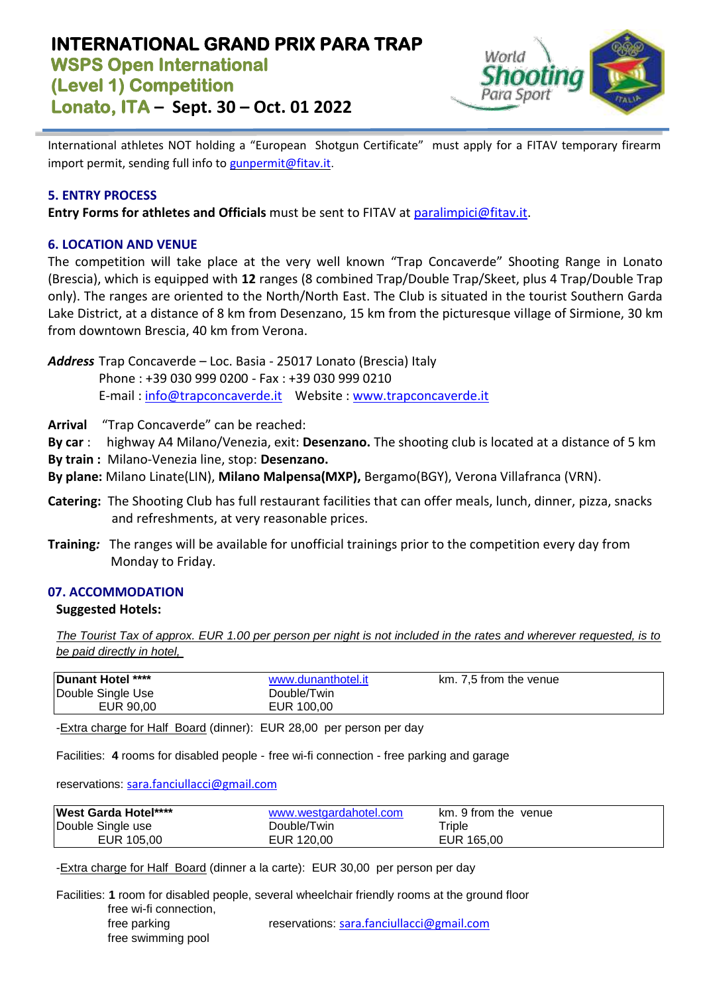# **INTERNATIONAL GRAND PRIX PARA TRAP WSPS Open International (Level 1) Competition Lonato, ITA – Sept. 30 – Oct. 01 2022**



International athletes NOT holding a "European Shotgun Certificate" must apply for a FITAV temporary firearm import permit, sending full info t[o gunpermit@fitav.it](mailto:gunpermit@fitav.it).

# **5. ENTRY PROCESS**

**Entry Forms for athletes and Officials** must be sent to FITAV at [paralimpici@fitav.it.](mailto:Paralimpici@fitav.it)

# **6. LOCATION AND VENUE**

The competition will take place at the very well known "Trap Concaverde" Shooting Range in Lonato (Brescia), which is equipped with **12** ranges (8 combined Trap/Double Trap/Skeet, plus 4 Trap/Double Trap only). The ranges are oriented to the North/North East. The Club is situated in the tourist Southern Garda Lake District, at a distance of 8 km from Desenzano, 15 km from the picturesque village of Sirmione, 30 km from downtown Brescia, 40 km from Verona.

*Address* Trap Concaverde – Loc. Basia - 25017 Lonato (Brescia) Italy Phone : +39 030 999 0200 - Fax : +39 030 999 0210 E-mail [: info@trapconcaverde.it](mailto:info@trapconcaverde.it) Website [: www.trapconcaverde.it](http://www.trapconcaverde.it/)

**Arrival** "Trap Concaverde" can be reached:

**By car** : highway A4 Milano/Venezia, exit: **Desenzano.** The shooting club is located at a distance of 5 km

**By train :** Milano-Venezia line, stop: **Desenzano.**

**By plane:** Milano Linate(LIN), **Milano Malpensa(MXP),** Bergamo(BGY), Verona Villafranca (VRN).

- **Catering:** The Shooting Club has full restaurant facilities that can offer meals, lunch, dinner, pizza, snacks and refreshments, at very reasonable prices.
- **Training***:* The ranges will be available for unofficial trainings prior to the competition every day from Monday to Friday.

# **07. ACCOMMODATION**

# **Suggested Hotels:**

*The Tourist Tax of approx. EUR 1.00 per person per night is not included in the rates and wherever requested, is to be paid directly in hotel,* 

| Dunant Hotel **** | www.dunanthotel.it | km. 7,5 from the venue |  |
|-------------------|--------------------|------------------------|--|
| Double Single Use | Double/Twin        |                        |  |
| EUR 90.00         | EUR 100.00         |                        |  |

-Extra charge for Half Board (dinner): EUR 28,00 per person per day

Facilities: **4** rooms for disabled people - free wi-fi connection - free parking and garage

#### reservations: sara.fanciullacci@gmail.com

| <b>West Garda Hotel****</b> | www.westgardahotel.com | km. 9 from the venue |
|-----------------------------|------------------------|----------------------|
| Double Single use           | Double/Twin            | Triple               |
| EUR 105.00                  | EUR 120,00             | EUR 165,00           |

-Extra charge for Half Board (dinner a la carte): EUR 30,00 per person per day

Facilities: **1** room for disabled people, several wheelchair friendly rooms at the ground floor free wi-fi connection, free parking reservations: sara.fanciullacci@gmail.com free swimming pool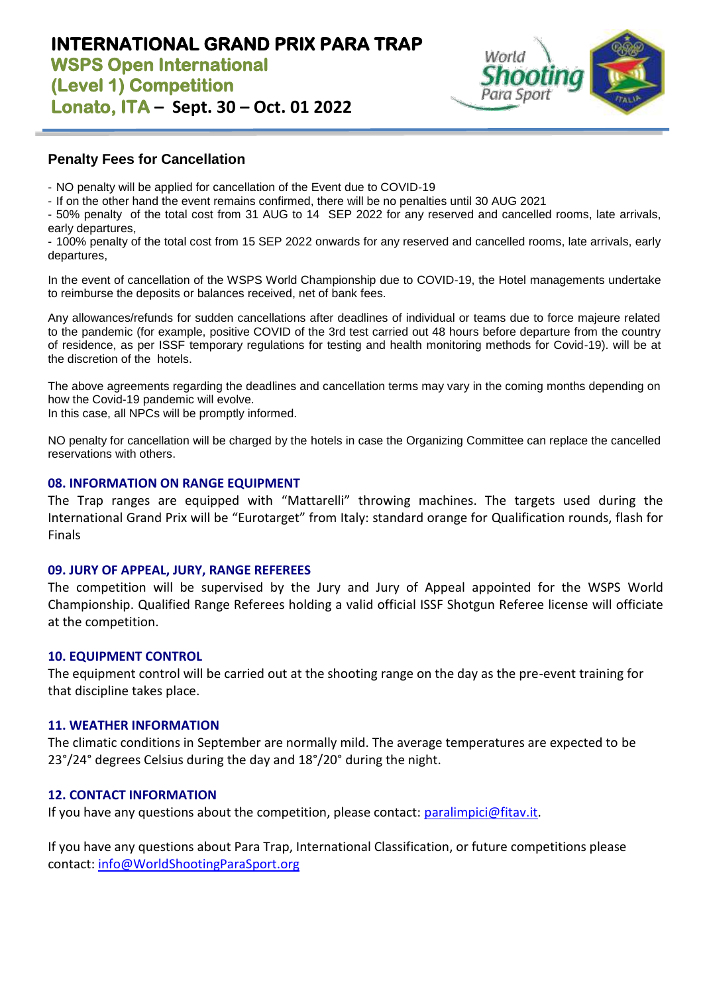# **INTERNATIONAL GRAND PRIX PARA TRAP WSPS Open International (Level 1) Competition Lonato, ITA – Sept. 30 – Oct. 01 2022**



# **Penalty Fees for Cancellation**

- NO penalty will be applied for cancellation of the Event due to COVID-19

- If on the other hand the event remains confirmed, there will be no penalties until 30 AUG 2021

- 50% penalty of the total cost from 31 AUG to 14 SEP 2022 for any reserved and cancelled rooms, late arrivals, early departures,

- 100% penalty of the total cost from 15 SEP 2022 onwards for any reserved and cancelled rooms, late arrivals, early departures,

In the event of cancellation of the WSPS World Championship due to COVID-19, the Hotel managements undertake to reimburse the deposits or balances received, net of bank fees.

Any allowances/refunds for sudden cancellations after deadlines of individual or teams due to force majeure related to the pandemic (for example, positive COVID of the 3rd test carried out 48 hours before departure from the country of residence, as per ISSF temporary regulations for testing and health monitoring methods for Covid-19). will be at the discretion of the hotels.

The above agreements regarding the deadlines and cancellation terms may vary in the coming months depending on how the Covid-19 pandemic will evolve.

In this case, all NPCs will be promptly informed.

NO penalty for cancellation will be charged by the hotels in case the Organizing Committee can replace the cancelled reservations with others.

# **08. INFORMATION ON RANGE EQUIPMENT**

The Trap ranges are equipped with "Mattarelli" throwing machines. The targets used during the International Grand Prix will be "Eurotarget" from Italy: standard orange for Qualification rounds, flash for Finals

# **09. JURY OF APPEAL, JURY, RANGE REFEREES**

The competition will be supervised by the Jury and Jury of Appeal appointed for the WSPS World Championship. Qualified Range Referees holding a valid official ISSF Shotgun Referee license will officiate at the competition.

# **10. EQUIPMENT CONTROL**

The equipment control will be carried out at the shooting range on the day as the pre-event training for that discipline takes place.

# **11. WEATHER INFORMATION**

The climatic conditions in September are normally mild. The average temperatures are expected to be 23°/24° degrees Celsius during the day and 18°/20° during the night.

# **12. CONTACT INFORMATION**

If you have any questions about the competition, please contact: [paralimpici@fitav.it.](mailto:paralimpici@fitav.it)

If you have any questions about Para Trap, International Classification, or future competitions please contact: [info@WorldShootingParaSport.org](mailto:info@WorldShootingParaSport.org)